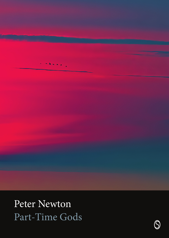Peter Newton Part-Time Gods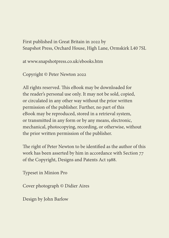First published in Great Britain in 2022 by [Snapshot Press](http://www.snapshotpress.co.uk), Orchard House, High Lane, Ormskirk L40 7SL

at [www.snapshotpress.co.uk/ebooks.htm](http://www.snapshotpress.co.uk/ebooks.htm)

Copyright © Peter Newton 2022

All rights reserved. This eBook may be downloaded for the reader's personal use only. It may not be sold, copied, or circulated in any other way without the prior written permission of the publisher. Further, no part of this eBook may be reproduced, stored in a retrieval system, or transmitted in any form or by any means, electronic, mechanical, photocopying, recording, or otherwise, without the prior written permission of the publisher.

The right of Peter Newton to be identified as the author of this work has been asserted by him in accordance with Section 77 of the Copyright, Designs and Patents Act 1988.

Typeset in Minion Pro

Cover photograph © Didier Aires

Design by John Barlow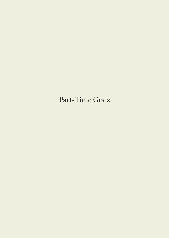# Part-Time Gods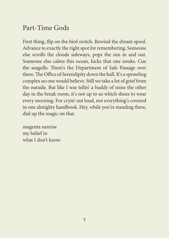## Part-Time Gods

First thing, flip on the bird switch. Rewind the dream spool. Advance to exactly the right spot for remembering. Someone else scrolls the clouds sideways, pops the sun in and out. Someone else calms this ocean, kicks that one awake. Cue the seagulls. There's the Department of Safe Passage over there. The Office of Serendipity down the hall. It's a sprawling complex no one would believe. Still we take a lot of grief from the outside. But like I was tellin' a buddy of mine the other day in the break room, it's not up to us which shoes to wear every morning. For cryin' out loud, not everything's covered in one almighty handbook. Hey, while you're standing there, dial up the magic on that.

magenta sunrise my belief in what I don't know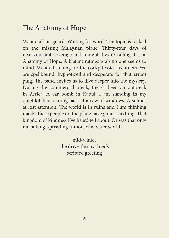## The Anatomy of Hope

We are all on guard. Waiting for word. The topic is locked on the missing Malaysian plane. Thirty-four days of near-constant coverage and tonight they're calling it: The Anatomy of Hope. A blatant ratings grab no one seems to mind. We are listening for the cockpit voice recorders. We are spellbound, hypnotized and desperate for that errant ping. The panel invites us to dive deeper into the mystery. During the commercial break, there's been an outbreak in Africa. A car bomb in Kabul. I am standing in my quiet kitchen, staring back at a row of windows. A soldier at lost attention. The world is in ruins and I am thinking maybe these people on the plane have gone searching. That kingdom of kindness I've heard tell about. Or was that only me talking, spreading rumors of a better world.

> mid-winter the drive-thru cashier's scripted greeting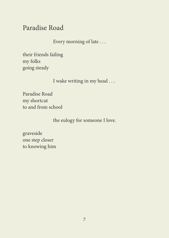## Paradise Road

Every morning of late . . .

their friends failing my folks going steady

I wake writing in my head . . .

Paradise Road my shortcut to and from school

the eulogy for someone I love.

graveside one step closer to knowing him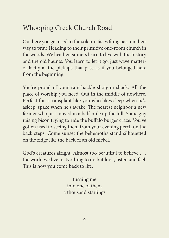## Whooping Creek Church Road

Out here you get used to the solemn faces filing past on their way to pray. Heading to their primitive one-room church in the woods. We heathen sinners learn to live with the history and the old haunts. You learn to let it go, just wave matterof-factly at the pickups that pass as if you belonged here from the beginning.

You're proud of your ramshackle shotgun shack. All the place of worship you need. Out in the middle of nowhere. Perfect for a transplant like you who likes sleep when he's asleep, space when he's awake. The nearest neighbor a new farmer who just moved in a half-mile up the hill. Some guy raising bison trying to ride the buffalo burger craze. You've gotten used to seeing them from your evening perch on the back steps. Come sunset the behemoths stand silhouetted on the ridge like the back of an old nickel.

God's creatures alright. Almost too beautiful to believe . . . the world we live in. Nothing to do but look, listen and feel. This is how you come back to life.

> turning me into one of them a thousand starlings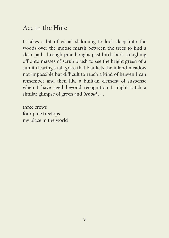## Ace in the Hole

It takes a bit of visual slaloming to look deep into the woods over the moose marsh between the trees to find a clear path through pine boughs past birch bark sloughing off onto masses of scrub brush to see the bright green of a sunlit clearing's tall grass that blankets the inland meadow not impossible but difficult to reach a kind of heaven I can remember and then like a built-in element of suspense when I have aged beyond recognition I might catch a similar glimpse of green and *behold* . . .

three crows four pine treetops my place in the world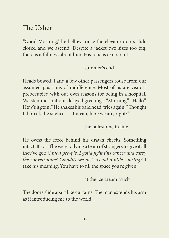### The Usher

"Good Morning," he bellows once the elevator doors slide closed and we ascend. Despite a jacket two sizes too big, there is a fullness about him. His tone is exuberant.

summer's end

Heads bowed, I and a few other passengers rouse from our assumed positions of indifference. Most of us are visitors preoccupied with our own reasons for being in a hospital. We stammer out our delayed greetings: "Morning." "Hello." How's it goin'." He shakes his bald head, tries again. "Thought I'd break the silence . . . I mean, here we are, right?"

the tallest one in line

He owns the force behind his drawn cheeks. Something intact. It's as if he were rallying a team of strangers to give it all they've got: *C'mon peo-ple. I gotta fight this cancer and carry the conversation? Couldn't we just extend a little courtesy?* I take his meaning: You have to fill the space you're given.

at the ice cream truck

The doors slide apart like curtains. The man extends his arm as if introducing me to the world.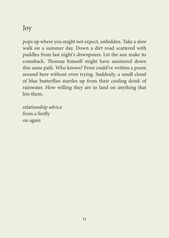## Joy

pops up where you might not expect, unbidden. Take a slow walk on a summer day. Down a dirt road scattered with puddles from last night's downpours. Let the sun make its comeback. Thoreau himself might have sauntered down this same path. Who knows? Frost could've written a poem around here without even trying. Suddenly, a small cloud of blue butterflies startles up from their cooling drink of rainwater. How willing they are to land on anything that lets them.

relationship advice from a firefly on again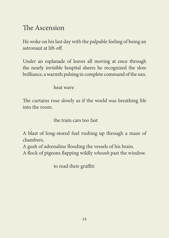## The Ascension

He woke on his last day with the palpable feeling of being an astronaut at lift-off.

Under an esplanade of leaves all moving at once through the nearly invisible hospital sheers he recognized the slow brilliance, a warmth pulsing in complete command of the sun.

heat wave

The curtains rose slowly as if the world was breathing life into the room.

the train cars too fast

A blast of long-stored fuel rushing up through a maze of chambers.

A gush of adrenaline flooding the vessels of his brain.

A flock of pigeons flapping wildly *whoosh* past the window.

to read their graffiti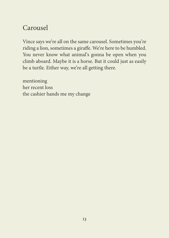## Carousel

Vince says we're all on the same carousel. Sometimes you're riding a lion, sometimes a giraffe. We're here to be humbled. You never know what animal's gonna be open when you climb aboard. Maybe it is a horse. But it could just as easily be a turtle. Either way, we're all getting there.

mentioning her recent loss the cashier hands me my change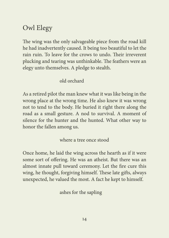## Owl Elegy

The wing was the only salvageable piece from the road kill he had inadvertently caused. It being too beautiful to let the rain ruin. To leave for the crows to undo. Their irreverent plucking and tearing was unthinkable. The feathers were an elegy unto themselves. A pledge to stealth.

#### old orchard

As a retired pilot the man knew what it was like being in the wrong place at the wrong time. He also knew it was wrong not to tend to the body. He buried it right there along the road as a small gesture. A nod to survival. A moment of silence for the hunter and the hunted. What other way to honor the fallen among us.

where a tree once stood

Once home, he laid the wing across the hearth as if it were some sort of offering. He was an atheist. But there was an almost innate pull toward ceremony. Let the fire cure this wing, he thought, forgiving himself. These late gifts, always unexpected, he valued the most. A fact he kept to himself.

ashes for the sapling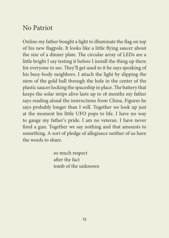#### No Patriot

Online my father bought a light to illuminate the flag on top of his new flagpole. It looks like a little flying saucer about the size of a dinner plate. The circular array of LEDs are a little bright I say testing it before I install the thing up there for everyone to see. They'll get used to it he says speaking of his busy-body neighbors. I attach the light by slipping the stem of the gold ball through the hole in the center of the plastic saucer locking the spaceship in place. The battery that keeps the solar strips alive lasts up to 18 months my father says reading aloud the instructions from China. Figures he says probably longer than I will. Together we look up just at the moment his little UFO pops to life. I have no way to gauge my father's pride. I am no veteran. I have never fired a gun. Together we say nothing and that amounts to something. A sort of pledge of allegiance neither of us have the words to share.

> so much respect after the fact tomb of the unknown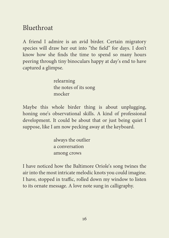### Bluethroat

A friend I admire is an avid birder. Certain migratory species will draw her out into "the field" for days. I don't know how she finds the time to spend so many hours peering through tiny binoculars happy at day's end to have captured a glimpse.

> relearning the notes of its song mocker

Maybe this whole birder thing is about unplugging, honing one's observational skills. A kind of professional development. It could be about that or just being quiet I suppose, like I am now pecking away at the keyboard.

> always the outlier a conversation among crows

I have noticed how the Baltimore Oriole's song twines the air into the most intricate melodic knots you could imagine. I have, stopped in traffic, rolled down my window to listen to its ornate message. A love note sung in calligraphy.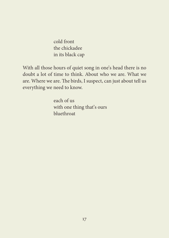cold front the chickadee in its black cap

With all those hours of quiet song in one's head there is no doubt a lot of time to think. About who we are. What we are. Where we are. The birds, I suspect, can just about tell us everything we need to know.

> each of us with one thing that's ours bluethroat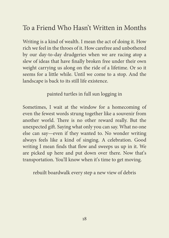### To a Friend Who Hasn't Written in Months

Writing is a kind of wealth. I mean the act of doing it. How rich we feel in the throes of it. How carefree and unbothered by our day-to-day drudgeries when we are racing atop a slew of ideas that have finally broken free under their own weight carrying us along on the ride of a lifetime. Or so it seems for a little while. Until we come to a stop. And the landscape is back to its still life existence.

painted turtles in full sun logging in

Sometimes, I wait at the window for a homecoming of even the fewest words strung together like a souvenir from another world. There is no other reward really. But the unexpected gift. Saying what only you can say. What no one else can say—even if they wanted to. No wonder writing always feels like a kind of singing. A celebration. Good writing I mean finds that flow and sweeps us up in it. We are picked up here and put down over there. Now that's transportation. You'll know when it's time to get moving.

rebuilt boardwalk every step a new view of debris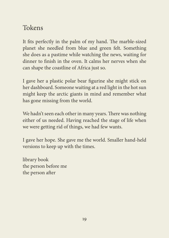## Tokens

1 It fits perfectly in the palm of my hand. The marble-sized 2 planet she needled from blue and green felt. Something she does as a pastime while watching the news, waiting for 4 dinner to finish in the oven. It calms her nerves when she can shape the coastline of Africa just so.

 I gave her a plastic polar bear figurine she might stick on her dashboard. Someone waiting at a red light in the hot sun might keep the arctic giants in mind and remember what has gone missing from the world.

We hadn't seen each other in many years. There was nothing either of us needed. Having reached the stage of life when we were getting rid of things, we had few wants.

I gave her hope. She gave me the world. Smaller hand-held versions to keep up with the times.

library book the person before me the person after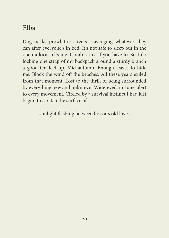## Elba

Dog packs prowl the streets scavenging whatever they can after everyone's in bed. It's not safe to sleep out in the open a local tells me. Climb a tree if you have to. So I do locking one strap of my backpack around a sturdy branch a good ten feet up. Mid-autumn. Enough leaves to hide me. Block the wind off the beaches. All these years exiled from that moment. Lost to the thrill of being surrounded by everything new and unknown. Wide-eyed, in-tune, alert to every movement. Circled by a survival instinct I had just begun to scratch the surface of.

sunlight flashing between boxcars old loves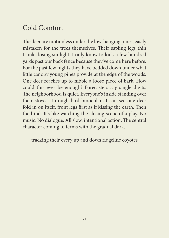## Cold Comfort

The deer are motionless under the low-hanging pines, easily mistaken for the trees themselves. Their sapling legs thin trunks losing sunlight. I only know to look a few hundred yards past our back fence because they've come here before. For the past few nights they have bedded down under what little canopy young pines provide at the edge of the woods. One deer reaches up to nibble a loose piece of bark. How could this ever be enough? Forecasters say single digits. The neighborhood is quiet. Everyone's inside standing over their stoves. Through bird binoculars I can see one deer fold in on itself, front legs first as if kissing the earth. Then the hind. It's like watching the closing scene of a play. No music. No dialogue. All slow, intentional action. The central character coming to terms with the gradual dark.

tracking their every up and down ridgeline coyotes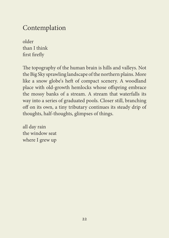## Contemplation

older than I think first firefly

The topography of the human brain is hills and valleys. Not the Big Sky sprawling landscape of the northern plains. More like a snow globe's heft of compact scenery. A woodland place with old-growth hemlocks whose offspring embrace the mossy banks of a stream. A stream that waterfalls its way into a series of graduated pools. Closer still, branching off on its own, a tiny tributary continues its steady drip of thoughts, half-thoughts, glimpses of things.

all day rain the window seat where I grew up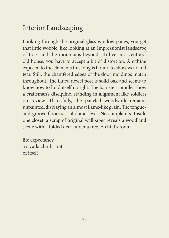## Interior Landscaping

Looking through the original glass window panes, you get that little wobble, like looking at an Impressionist landscape of trees and the mountains beyond. To live in a centuryold house, you have to accept a bit of distortion. Anything exposed to the elements this long is bound to show wear and tear. Still, the chamfered edges of the door moldings match throughout. The fluted newel post is solid oak and seems to know how to hold itself upright. The banister spindles show a craftsman's discipline, standing in alignment like soldiers on review. Thankfully, the paneled woodwork remains unpainted, displaying an almost flame-like grain. The tongueand-groove floors sit solid and level. No complaints. Inside one closet. a scrap of original wallpaper reveals a woodland scene with a folded deer under a tree. A child's room.

life expectancy a cicada climbs out of itself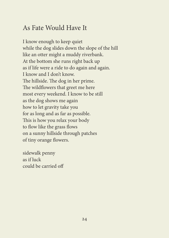### As Fate Would Have It

I know enough to keep quiet while the dog slides down the slope of the hill like an otter might a muddy riverbank. At the bottom she runs right back up as if life were a ride to do again and again. I know and I don't know. The hillside. The dog in her prime. The wildflowers that greet me here most every weekend. I know to be still as the dog shows me again how to let gravity take you for as long and as far as possible. This is how you relax your body to flow like the grass flows on a sunny hillside through patches of tiny orange flowers.

sidewalk penny as if luck could be carried off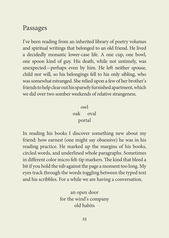#### Passages

I've been reading from an inherited library of poetry volumes and spiritual writings that belonged to an old friend. He lived a decidedly monastic lower-case life. A one cup, one bowl, one spoon kind of guy. His death, while not untimely, was unexpected—perhaps even by him. He left neither spouse, child nor will, so his belongings fell to his only sibling, who was somewhat estranged. She relied upon a few of her brother's friends to help clear out his sparsely furnished apartment, which we did over two somber weekends of relative strangeness.

#### owl

oak oval portal

In reading his books I discover something new about my friend: how earnest (one might say obsessive) he was in his reading practice. He marked up the margins of his books, circled words, and underlined whole paragraphs. Sometimes in different color micro felt-tip markers. The kind that bleed a bit if you hold the nib against the page a moment too long. My eyes track through the words toggling between the typed text and his scribbles. For a while we are having a conversation.

> an open door for the wind's company old habits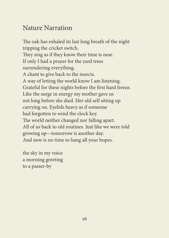## Nature Narration

The oak has exhaled its last long breath of the night tripping the cricket switch. They sing as if they know their time is near. If only I had a prayer for the yard trees surrendering everything. A chant to give back to the insects. A way of letting the world know I am listening. Grateful for these nights before the first hard freeze. Like the surge in energy my mother gave us not long before she died. Her old self sitting up carrying on. Eyelids heavy as if someone had forgotten to wind the clock key. The world neither changed nor falling apart. All of us back to old routines. Just like we were told growing up—tomorrow is another day. And now is no time to hang all your hopes.

the sky in my voice a morning greeting to a passer-by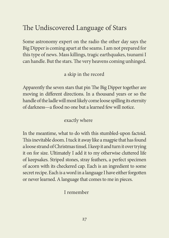## The Undiscovered Language of Stars

Some astronomy expert on the radio the other day says the Big Dipper is coming apart at the seams. I am not prepared for this type of news. Mass killings, tragic earthquakes, tsunami I can handle. But the stars. The very heavens coming unhinged.

#### a skip in the record

Apparently the seven stars that pin The Big Dipper together are moving in different directions. In a thousand years or so the handle of the ladle will most likely come loose spilling its eternity of darkness—a flood no one but a learned few will notice.

#### exactly where

In the meantime, what to do with this stumbled-upon factoid. This inevitable doom. I tuck it away like a magpie that has found a loose strand of Christmas tinsel. I keep it and turn it over trying it on for size. Ultimately I add it to my otherwise cluttered life of keepsakes. Striped stones, stray feathers, a perfect specimen of acorn with its checkered cap. Each is an ingredient to some secret recipe. Each is a word in a language I have either forgotten or never learned. A language that comes to me in pieces.

#### I remember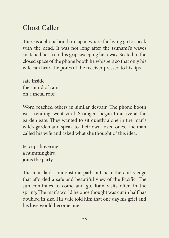## Ghost Caller

There is a phone booth in Japan where the living go to speak with the dead. It was not long after the tsunami's waves snatched her from his grip sweeping her away. Seated in the closed space of the phone booth he whispers so that only his wife can hear, the pores of the receiver pressed to his lips.

safe inside the sound of rain on a metal roof

Word reached others in similar despair. The phone booth was trending, went viral. Strangers began to arrive at the garden gate. They wanted to sit quietly alone in the man's wife's garden and speak to their own loved ones. The man called his wife and asked what she thought of this idea.

teacups hovering a hummingbird joins the party

The man laid a moonstone path out near the cliff's edge that afforded a safe and beautiful view of the Pacific. The sun continues to come and go. Rain visits often in the spring. The man's world he once thought was cut in half has doubled in size. His wife told him that one day his grief and his love would become one.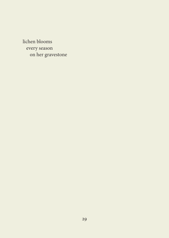lichen blooms every season on her gravestone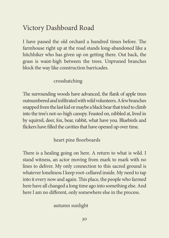## Victory Dashboard Road

I have passed the old orchard a hundred times before. The farmhouse right up at the road stands long-abandoned like a hitchhiker who has given up on getting there. Out back, the grass is waist-high between the trees. Unpruned branches block the way like construction barricades.

#### crosshatching

The surrounding woods have advanced, the flank of apple trees outnumbered and infiltrated with wild volunteers. A few branches snapped from the last kid or maybe a black bear that tried to climb into the tree's not-so-high canopy. Feasted on, nibbled at, lived in by squirrel, deer, fox, bear, rabbit, what have you. Bluebirds and flickers have filled the cavities that have opened up over time.

heart pine floorboards

There is a healing going on here. A return to what is wild. I stand witness, an actor moving from mark to mark with no lines to deliver. My only connection to this sacred ground is whatever loneliness I keep root-cellared inside. My need to tap into it every now and again. This place, the people who farmed here have all changed a long time ago into something else. And here I am no different, only somewhere else in the process.

autumn sunlight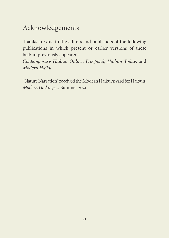## Acknowledgements

Thanks are due to the editors and publishers of the following publications in which present or earlier versions of these haibun previously appeared:

*Contemporary Haibun Online*, *Frogpond*, *Haibun Today*, and *Modern Haiku*.

"Nature Narration" received the Modern Haiku Award for Haibun, *Modern Haiku* 52.2, Summer 2021.